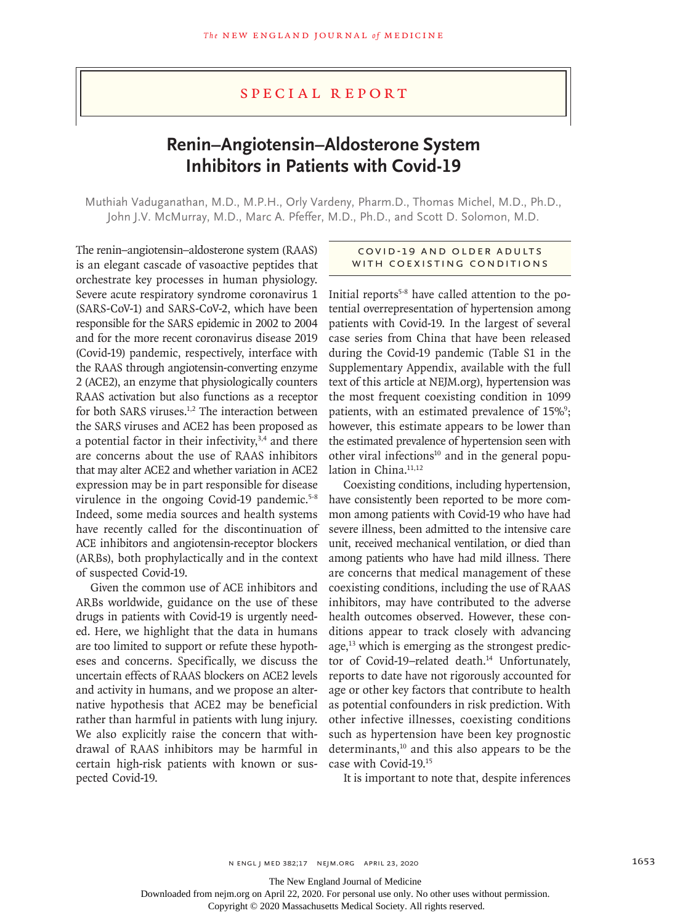## Special Report

# **Renin–Angiotensin–Aldosterone System Inhibitors in Patients with Covid-19**

Muthiah Vaduganathan, M.D., M.P.H., Orly Vardeny, Pharm.D., Thomas Michel, M.D., Ph.D., John J.V. McMurray, M.D., Marc A. Pfeffer, M.D., Ph.D., and Scott D. Solomon, M.D.

The renin–angiotensin–aldosterone system (RAAS) is an elegant cascade of vasoactive peptides that orchestrate key processes in human physiology. Severe acute respiratory syndrome coronavirus 1 (SARS-CoV-1) and SARS-CoV-2, which have been responsible for the SARS epidemic in 2002 to 2004 and for the more recent coronavirus disease 2019 (Covid-19) pandemic, respectively, interface with the RAAS through angiotensin-converting enzyme 2 (ACE2), an enzyme that physiologically counters RAAS activation but also functions as a receptor for both SARS viruses.<sup>1,2</sup> The interaction between the SARS viruses and ACE2 has been proposed as a potential factor in their infectivity,<sup>3,4</sup> and there are concerns about the use of RAAS inhibitors that may alter ACE2 and whether variation in ACE2 expression may be in part responsible for disease virulence in the ongoing Covid-19 pandemic.<sup>5-8</sup> Indeed, some media sources and health systems have recently called for the discontinuation of ACE inhibitors and angiotensin-receptor blockers (ARBs), both prophylactically and in the context of suspected Covid-19.

Given the common use of ACE inhibitors and ARBs worldwide, guidance on the use of these drugs in patients with Covid-19 is urgently needed. Here, we highlight that the data in humans are too limited to support or refute these hypotheses and concerns. Specifically, we discuss the uncertain effects of RAAS blockers on ACE2 levels and activity in humans, and we propose an alternative hypothesis that ACE2 may be beneficial rather than harmful in patients with lung injury. We also explicitly raise the concern that withdrawal of RAAS inhibitors may be harmful in certain high-risk patients with known or suspected Covid-19.

#### Covid -19 and Older Adults WITH COEXISTING CONDITIONS

Initial reports<sup>5-8</sup> have called attention to the potential overrepresentation of hypertension among patients with Covid-19. In the largest of several case series from China that have been released during the Covid-19 pandemic (Table S1 in the Supplementary Appendix, available with the full text of this article at NEJM.org), hypertension was the most frequent coexisting condition in 1099 patients, with an estimated prevalence of 15%<sup>9</sup>; however, this estimate appears to be lower than the estimated prevalence of hypertension seen with other viral infections $10$  and in the general population in China.<sup>11,12</sup>

Coexisting conditions, including hypertension, have consistently been reported to be more common among patients with Covid-19 who have had severe illness, been admitted to the intensive care unit, received mechanical ventilation, or died than among patients who have had mild illness. There are concerns that medical management of these coexisting conditions, including the use of RAAS inhibitors, may have contributed to the adverse health outcomes observed. However, these conditions appear to track closely with advancing age,<sup>13</sup> which is emerging as the strongest predictor of Covid-19-related death.<sup>14</sup> Unfortunately, reports to date have not rigorously accounted for age or other key factors that contribute to health as potential confounders in risk prediction. With other infective illnesses, coexisting conditions such as hypertension have been key prognostic determinants, $10$  and this also appears to be the case with Covid-19.15

It is important to note that, despite inferences

The New England Journal of Medicine

Downloaded from nejm.org on April 22, 2020. For personal use only. No other uses without permission.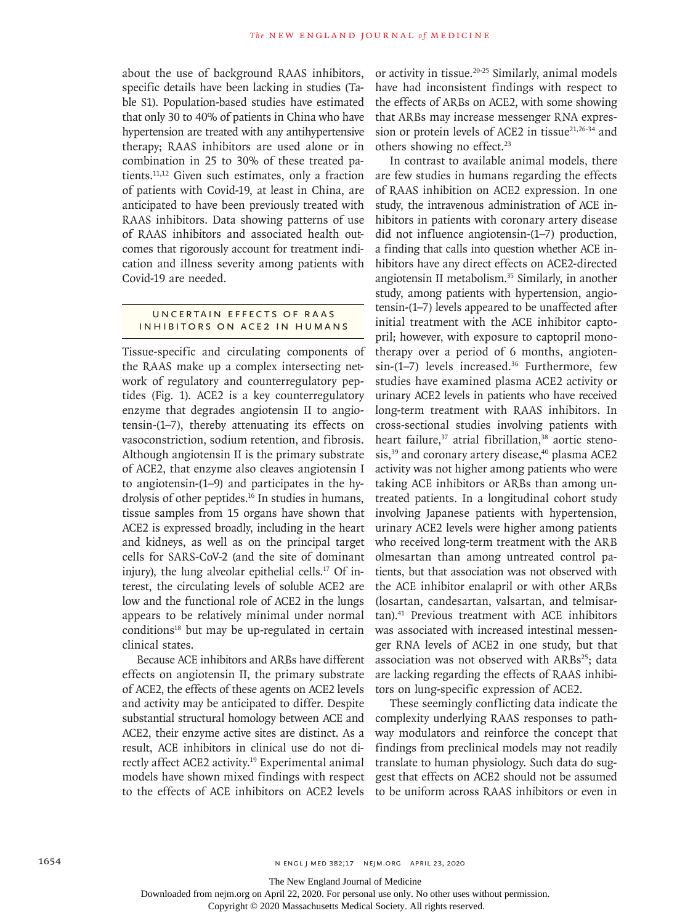about the use of background RAAS inhibitors, specific details have been lacking in studies (Table S1). Population-based studies have estimated that only 30 to 40% of patients in China who have hypertension are treated with any antihypertensive therapy; RAAS inhibitors are used alone or in combination in 25 to 30% of these treated patients.11,12 Given such estimates, only a fraction of patients with Covid-19, at least in China, are anticipated to have been previously treated with RAAS inhibitors. Data showing patterns of use of RAAS inhibitors and associated health outcomes that rigorously account for treatment indication and illness severity among patients with Covid-19 are needed.

#### UNCERTAIN EFFECTS OF RAAS Inhibitors on ACE2 in Humans

Tissue-specific and circulating components of the RAAS make up a complex intersecting network of regulatory and counterregulatory peptides (Fig. 1). ACE2 is a key counterregulatory enzyme that degrades angiotensin II to angiotensin-(1–7), thereby attenuating its effects on vasoconstriction, sodium retention, and fibrosis. Although angiotensin II is the primary substrate of ACE2, that enzyme also cleaves angiotensin I to angiotensin-(1–9) and participates in the hydrolysis of other peptides.<sup>16</sup> In studies in humans, tissue samples from 15 organs have shown that ACE2 is expressed broadly, including in the heart and kidneys, as well as on the principal target cells for SARS-CoV-2 (and the site of dominant injury), the lung alveolar epithelial cells. $17$  Of interest, the circulating levels of soluble ACE2 are low and the functional role of ACE2 in the lungs appears to be relatively minimal under normal  $conditions<sup>18</sup>$  but may be up-regulated in certain clinical states.

Because ACE inhibitors and ARBs have different effects on angiotensin II, the primary substrate of ACE2, the effects of these agents on ACE2 levels and activity may be anticipated to differ. Despite substantial structural homology between ACE and ACE2, their enzyme active sites are distinct. As a result, ACE inhibitors in clinical use do not directly affect ACE2 activity.<sup>19</sup> Experimental animal models have shown mixed findings with respect to the effects of ACE inhibitors on ACE2 levels

or activity in tissue.20-25 Similarly, animal models have had inconsistent findings with respect to the effects of ARBs on ACE2, with some showing that ARBs may increase messenger RNA expression or protein levels of ACE2 in tissue $21,26-34$  and others showing no effect.<sup>23</sup>

In contrast to available animal models, there are few studies in humans regarding the effects of RAAS inhibition on ACE2 expression. In one study, the intravenous administration of ACE inhibitors in patients with coronary artery disease did not influence angiotensin-(1–7) production, a finding that calls into question whether ACE inhibitors have any direct effects on ACE2-directed angiotensin II metabolism.35 Similarly, in another study, among patients with hypertension, angiotensin-(1–7) levels appeared to be unaffected after initial treatment with the ACE inhibitor captopril; however, with exposure to captopril monotherapy over a period of 6 months, angioten $sin-(1-7)$  levels increased.<sup>36</sup> Furthermore, few studies have examined plasma ACE2 activity or urinary ACE2 levels in patients who have received long-term treatment with RAAS inhibitors. In cross-sectional studies involving patients with heart failure,<sup>37</sup> atrial fibrillation,<sup>38</sup> aortic stenosis,<sup>39</sup> and coronary artery disease,<sup>40</sup> plasma ACE2 activity was not higher among patients who were taking ACE inhibitors or ARBs than among untreated patients. In a longitudinal cohort study involving Japanese patients with hypertension, urinary ACE2 levels were higher among patients who received long-term treatment with the ARB olmesartan than among untreated control patients, but that association was not observed with the ACE inhibitor enalapril or with other ARBs (losartan, candesartan, valsartan, and telmisartan).41 Previous treatment with ACE inhibitors was associated with increased intestinal messenger RNA levels of ACE2 in one study, but that association was not observed with  $ARBs^{25}$ ; data are lacking regarding the effects of RAAS inhibitors on lung-specific expression of ACE2.

These seemingly conflicting data indicate the complexity underlying RAAS responses to pathway modulators and reinforce the concept that findings from preclinical models may not readily translate to human physiology. Such data do suggest that effects on ACE2 should not be assumed to be uniform across RAAS inhibitors or even in

The New England Journal of Medicine

Downloaded from nejm.org on April 22, 2020. For personal use only. No other uses without permission.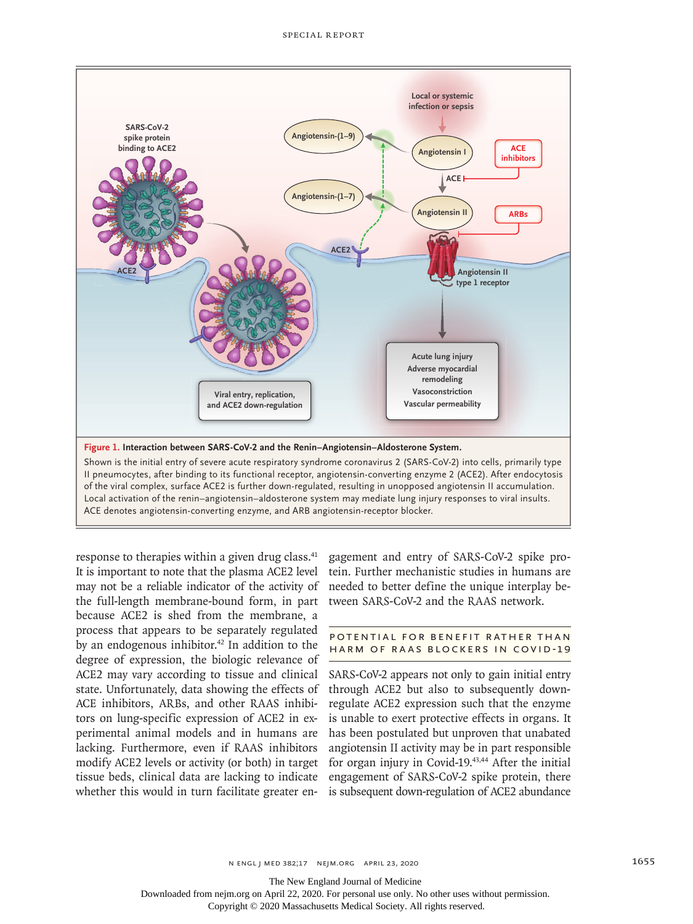

response to therapies within a given drug class.<sup>41</sup> It is important to note that the plasma ACE2 level may not be a reliable indicator of the activity of the full-length membrane-bound form, in part because ACE2 is shed from the membrane, a process that appears to be separately regulated by an endogenous inhibitor. $42$  In addition to the degree of expression, the biologic relevance of ACE2 may vary according to tissue and clinical state. Unfortunately, data showing the effects of ACE inhibitors, ARBs, and other RAAS inhibitors on lung-specific expression of ACE2 in experimental animal models and in humans are lacking. Furthermore, even if RAAS inhibitors modify ACE2 levels or activity (or both) in target tissue beds, clinical data are lacking to indicate whether this would in turn facilitate greater engagement and entry of SARS-CoV-2 spike protein. Further mechanistic studies in humans are needed to better define the unique interplay between SARS-CoV-2 and the RAAS network.

### POTENTIAL FOR BENEFIT RATHER THAN Harm of RAAS Blockers in Covid-19

SARS-CoV-2 appears not only to gain initial entry through ACE2 but also to subsequently downregulate ACE2 expression such that the enzyme is unable to exert protective effects in organs. It has been postulated but unproven that unabated angiotensin II activity may be in part responsible for organ injury in Covid-19.43,44 After the initial engagement of SARS-CoV-2 spike protein, there is subsequent down-regulation of ACE2 abundance

The New England Journal of Medicine

Downloaded from nejm.org on April 22, 2020. For personal use only. No other uses without permission.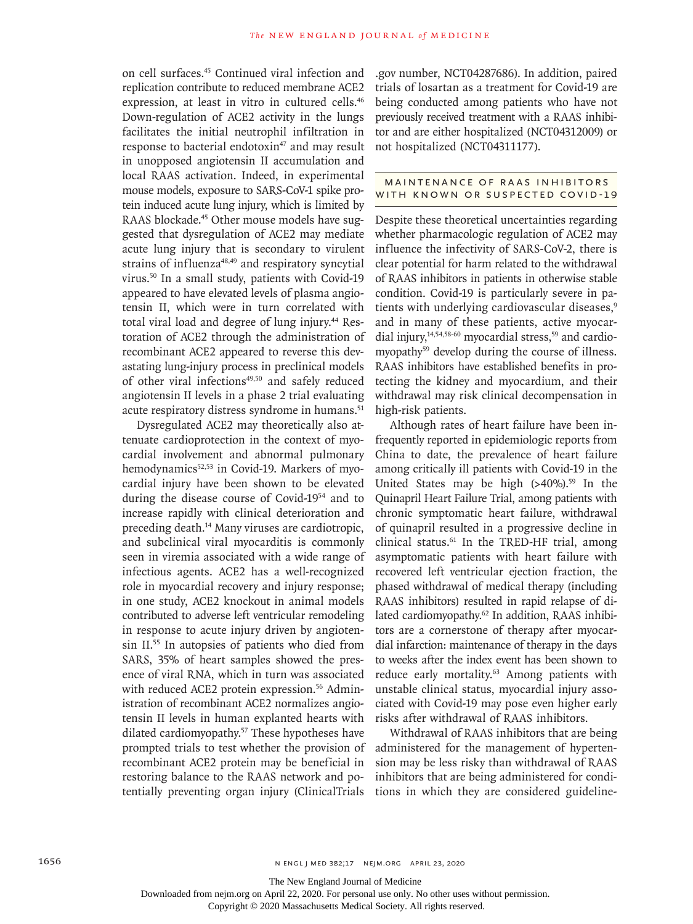on cell surfaces.45 Continued viral infection and replication contribute to reduced membrane ACE2 expression, at least in vitro in cultured cells.<sup>46</sup> Down-regulation of ACE2 activity in the lungs facilitates the initial neutrophil infiltration in response to bacterial endotoxin<sup>47</sup> and may result in unopposed angiotensin II accumulation and local RAAS activation. Indeed, in experimental mouse models, exposure to SARS-CoV-1 spike protein induced acute lung injury, which is limited by RAAS blockade.<sup>45</sup> Other mouse models have suggested that dysregulation of ACE2 may mediate acute lung injury that is secondary to virulent strains of influenza<sup>48,49</sup> and respiratory syncytial virus.50 In a small study, patients with Covid-19 appeared to have elevated levels of plasma angiotensin II, which were in turn correlated with total viral load and degree of lung injury.<sup>44</sup> Restoration of ACE2 through the administration of recombinant ACE2 appeared to reverse this devastating lung-injury process in preclinical models of other viral infections<sup>49,50</sup> and safely reduced angiotensin II levels in a phase 2 trial evaluating acute respiratory distress syndrome in humans.<sup>51</sup>

Dysregulated ACE2 may theoretically also attenuate cardioprotection in the context of myocardial involvement and abnormal pulmonary hemodynamics<sup>52,53</sup> in Covid-19. Markers of myocardial injury have been shown to be elevated during the disease course of Covid-1954 and to increase rapidly with clinical deterioration and preceding death.<sup>14</sup> Many viruses are cardiotropic, and subclinical viral myocarditis is commonly seen in viremia associated with a wide range of infectious agents. ACE2 has a well-recognized role in myocardial recovery and injury response; in one study, ACE2 knockout in animal models contributed to adverse left ventricular remodeling in response to acute injury driven by angiotensin II.55 In autopsies of patients who died from SARS, 35% of heart samples showed the presence of viral RNA, which in turn was associated with reduced ACE2 protein expression.<sup>56</sup> Administration of recombinant ACE2 normalizes angiotensin II levels in human explanted hearts with dilated cardiomyopathy.57 These hypotheses have prompted trials to test whether the provision of recombinant ACE2 protein may be beneficial in restoring balance to the RAAS network and potentially preventing organ injury (ClinicalTrials

.gov number, NCT04287686). In addition, paired trials of losartan as a treatment for Covid-19 are being conducted among patients who have not previously received treatment with a RAAS inhibitor and are either hospitalized (NCT04312009) or not hospitalized (NCT04311177).

#### MAINTENANCE OF RAAS INHIBITORS WITH KNOWN OR SUSPECTED COVID-19

Despite these theoretical uncertainties regarding whether pharmacologic regulation of ACE2 may influence the infectivity of SARS-CoV-2, there is clear potential for harm related to the withdrawal of RAAS inhibitors in patients in otherwise stable condition. Covid-19 is particularly severe in patients with underlying cardiovascular diseases,<sup>9</sup> and in many of these patients, active myocardial injury, $14,54,58-60$  myocardial stress, $59$  and cardiomyopathy<sup>59</sup> develop during the course of illness. RAAS inhibitors have established benefits in protecting the kidney and myocardium, and their withdrawal may risk clinical decompensation in high-risk patients.

Although rates of heart failure have been infrequently reported in epidemiologic reports from China to date, the prevalence of heart failure among critically ill patients with Covid-19 in the United States may be high  $(>40\%)$ .<sup>59</sup> In the Quinapril Heart Failure Trial, among patients with chronic symptomatic heart failure, withdrawal of quinapril resulted in a progressive decline in clinical status.<sup>61</sup> In the TRED-HF trial, among asymptomatic patients with heart failure with recovered left ventricular ejection fraction, the phased withdrawal of medical therapy (including RAAS inhibitors) resulted in rapid relapse of dilated cardiomyopathy.<sup>62</sup> In addition, RAAS inhibitors are a cornerstone of therapy after myocardial infarction: maintenance of therapy in the days to weeks after the index event has been shown to reduce early mortality.<sup>63</sup> Among patients with unstable clinical status, myocardial injury associated with Covid-19 may pose even higher early risks after withdrawal of RAAS inhibitors.

Withdrawal of RAAS inhibitors that are being administered for the management of hypertension may be less risky than withdrawal of RAAS inhibitors that are being administered for conditions in which they are considered guideline-

Downloaded from nejm.org on April 22, 2020. For personal use only. No other uses without permission.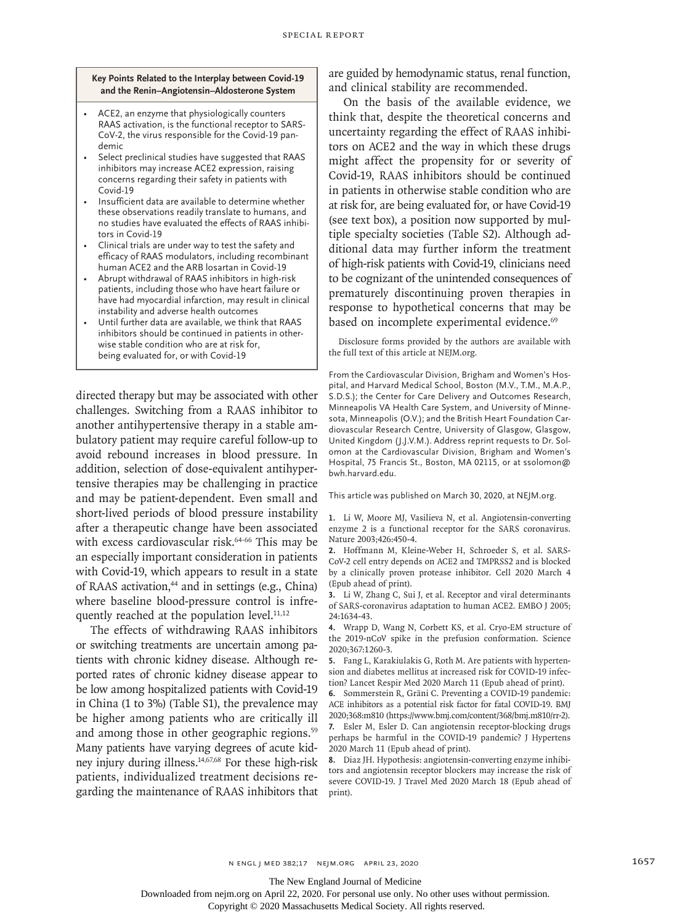**Key Points Related to the Interplay between Covid-19 and the Renin–Angiotensin–Aldosterone System**

- ACE2, an enzyme that physiologically counters RAAS activation, is the functional receptor to SARS-CoV-2, the virus responsible for the Covid-19 pandemic
- Select preclinical studies have suggested that RAAS inhibitors may increase ACE2 expression, raising concerns regarding their safety in patients with Covid-19
- Insufficient data are available to determine whether these observations readily translate to humans, and no studies have evaluated the effects of RAAS inhibitors in Covid-19
- Clinical trials are under way to test the safety and efficacy of RAAS modulators, including recombinant human ACE2 and the ARB losartan in Covid-19
- Abrupt withdrawal of RAAS inhibitors in high-risk patients, including those who have heart failure or have had myocardial infarction, may result in clinical instability and adverse health outcomes
- Until further data are available, we think that RAAS inhibitors should be continued in patients in otherwise stable condition who are at risk for, being evaluated for, or with Covid-19

directed therapy but may be associated with other challenges. Switching from a RAAS inhibitor to another antihypertensive therapy in a stable ambulatory patient may require careful follow-up to avoid rebound increases in blood pressure. In addition, selection of dose-equivalent antihypertensive therapies may be challenging in practice and may be patient-dependent. Even small and short-lived periods of blood pressure instability after a therapeutic change have been associated with excess cardiovascular risk.<sup>64-66</sup> This may be an especially important consideration in patients with Covid-19, which appears to result in a state of RAAS activation,<sup>44</sup> and in settings (e.g., China) where baseline blood-pressure control is infrequently reached at the population level. $11,12$ 

The effects of withdrawing RAAS inhibitors or switching treatments are uncertain among patients with chronic kidney disease. Although reported rates of chronic kidney disease appear to be low among hospitalized patients with Covid-19 in China (1 to 3%) (Table S1), the prevalence may be higher among patients who are critically ill and among those in other geographic regions.<sup>59</sup> Many patients have varying degrees of acute kidney injury during illness.14,67,68 For these high-risk patients, individualized treatment decisions regarding the maintenance of RAAS inhibitors that

are guided by hemodynamic status, renal function, and clinical stability are recommended.

On the basis of the available evidence, we think that, despite the theoretical concerns and uncertainty regarding the effect of RAAS inhibitors on ACE2 and the way in which these drugs might affect the propensity for or severity of Covid-19, RAAS inhibitors should be continued in patients in otherwise stable condition who are at risk for, are being evaluated for, or have Covid-19 (see text box), a position now supported by multiple specialty societies (Table S2). Although additional data may further inform the treatment of high-risk patients with Covid-19, clinicians need to be cognizant of the unintended consequences of prematurely discontinuing proven therapies in response to hypothetical concerns that may be based on incomplete experimental evidence.<sup>69</sup>

Disclosure forms provided by the authors are available with the full text of this article at NEJM.org.

From the Cardiovascular Division, Brigham and Women's Hospital, and Harvard Medical School, Boston (M.V., T.M., M.A.P., S.D.S.); the Center for Care Delivery and Outcomes Research, Minneapolis VA Health Care System, and University of Minnesota, Minneapolis (O.V.); and the British Heart Foundation Cardiovascular Research Centre, University of Glasgow, Glasgow, United Kingdom (J.J.V.M.). Address reprint requests to Dr. Solomon at the Cardiovascular Division, Brigham and Women's Hospital, 75 Francis St., Boston, MA 02115, or at ssolomon@ bwh.harvard.edu.

This article was published on March 30, 2020, at NEJM.org.

**1.** Li W, Moore MJ, Vasilieva N, et al. Angiotensin-converting enzyme 2 is a functional receptor for the SARS coronavirus. Nature 2003;426:450-4.

**2.** Hoffmann M, Kleine-Weber H, Schroeder S, et al. SARS-CoV-2 cell entry depends on ACE2 and TMPRSS2 and is blocked by a clinically proven protease inhibitor. Cell 2020 March 4 (Epub ahead of print).

**3.** Li W, Zhang C, Sui J, et al. Receptor and viral determinants of SARS-coronavirus adaptation to human ACE2. EMBO J 2005; 24:1634-43.

**4.** Wrapp D, Wang N, Corbett KS, et al. Cryo-EM structure of the 2019-nCoV spike in the prefusion conformation. Science 2020;367:1260-3.

**5.** Fang L, Karakiulakis G, Roth M. Are patients with hypertension and diabetes mellitus at increased risk for COVID-19 infection? Lancet Respir Med 2020 March 11 (Epub ahead of print).

**6.** Sommerstein R, Gräni C. Preventing a COVID-19 pandemic: ACE inhibitors as a potential risk factor for fatal COVID-19. BMJ 2020;368:m810 (https://www.bmj.com/content/368/bmj.m810/rr-2). **7.** Esler M, Esler D. Can angiotensin receptor-blocking drugs

perhaps be harmful in the COVID-19 pandemic? J Hypertens 2020 March 11 (Epub ahead of print). **8.** Diaz JH. Hypothesis: angiotensin-converting enzyme inhibi-

tors and angiotensin receptor blockers may increase the risk of severe COVID-19. J Travel Med 2020 March 18 (Epub ahead of print).

The New England Journal of Medicine

Downloaded from nejm.org on April 22, 2020. For personal use only. No other uses without permission.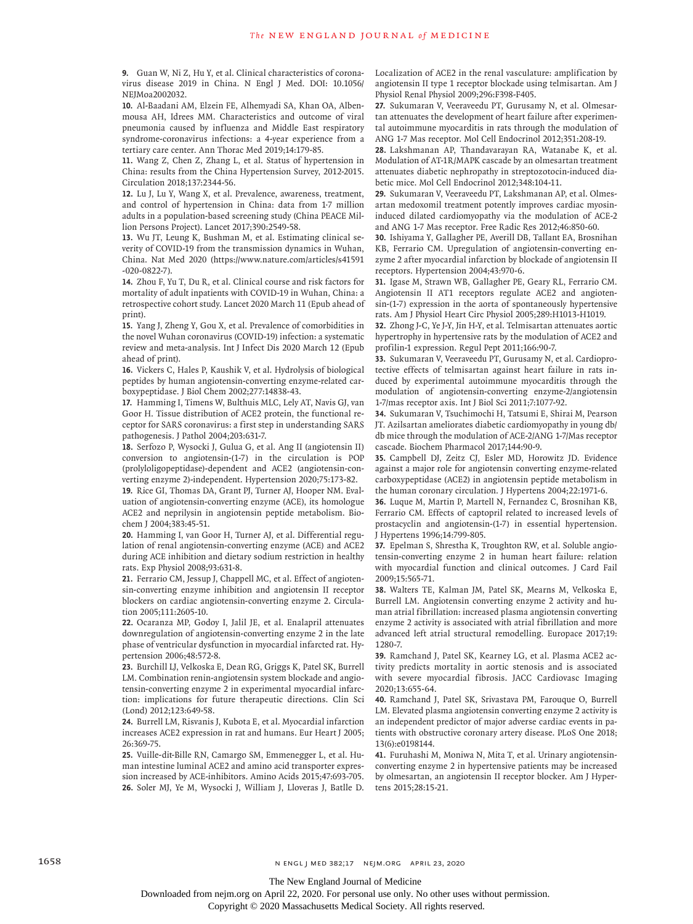**9.** Guan W, Ni Z, Hu Y, et al. Clinical characteristics of coronavirus disease 2019 in China. N Engl J Med. DOI: 10.1056/ NEJMoa2002032.

**10.** Al-Baadani AM, Elzein FE, Alhemyadi SA, Khan OA, Albenmousa AH, Idrees MM. Characteristics and outcome of viral pneumonia caused by influenza and Middle East respiratory syndrome-coronavirus infections: a 4-year experience from a tertiary care center. Ann Thorac Med 2019;14:179-85.

**11.** Wang Z, Chen Z, Zhang L, et al. Status of hypertension in China: results from the China Hypertension Survey, 2012-2015. Circulation 2018;137:2344-56.

**12.** Lu J, Lu Y, Wang X, et al. Prevalence, awareness, treatment, and control of hypertension in China: data from 1·7 million adults in a population-based screening study (China PEACE Million Persons Project). Lancet 2017;390:2549-58.

**13.** Wu JT, Leung K, Bushman M, et al. Estimating clinical severity of COVID-19 from the transmission dynamics in Wuhan, China. Nat Med 2020 (https://www.nature.com/articles/s41591 -020-0822-7).

**14.** Zhou F, Yu T, Du R, et al. Clinical course and risk factors for mortality of adult inpatients with COVID-19 in Wuhan, China: a retrospective cohort study. Lancet 2020 March 11 (Epub ahead of print).

**15.** Yang J, Zheng Y, Gou X, et al. Prevalence of comorbidities in the novel Wuhan coronavirus (COVID-19) infection: a systematic review and meta-analysis. Int J Infect Dis 2020 March 12 (Epub ahead of print).

**16.** Vickers C, Hales P, Kaushik V, et al. Hydrolysis of biological peptides by human angiotensin-converting enzyme-related carboxypeptidase. J Biol Chem 2002;277:14838-43.

**17.** Hamming I, Timens W, Bulthuis MLC, Lely AT, Navis GJ, van Goor H. Tissue distribution of ACE2 protein, the functional receptor for SARS coronavirus: a first step in understanding SARS pathogenesis. J Pathol 2004;203:631-7.

**18.** Serfozo P, Wysocki J, Gulua G, et al. Ang II (angiotensin II) conversion to angiotensin-(1-7) in the circulation is POP (prolyloligopeptidase)-dependent and ACE2 (angiotensin-converting enzyme 2)-independent. Hypertension 2020;75:173-82. **19.** Rice GI, Thomas DA, Grant PJ, Turner AJ, Hooper NM. Evaluation of angiotensin-converting enzyme (ACE), its homologue ACE2 and neprilysin in angiotensin peptide metabolism. Bio-

chem J 2004;383:45-51. **20.** Hamming I, van Goor H, Turner AJ, et al. Differential regulation of renal angiotensin-converting enzyme (ACE) and ACE2 during ACE inhibition and dietary sodium restriction in healthy rats. Exp Physiol 2008;93:631-8.

**21.** Ferrario CM, Jessup J, Chappell MC, et al. Effect of angiotensin-converting enzyme inhibition and angiotensin II receptor blockers on cardiac angiotensin-converting enzyme 2. Circulation 2005;111:2605-10.

**22.** Ocaranza MP, Godoy I, Jalil JE, et al. Enalapril attenuates downregulation of angiotensin-converting enzyme 2 in the late phase of ventricular dysfunction in myocardial infarcted rat. Hypertension 2006;48:572-8.

**23.** Burchill LJ, Velkoska E, Dean RG, Griggs K, Patel SK, Burrell LM. Combination renin-angiotensin system blockade and angiotensin-converting enzyme 2 in experimental myocardial infarction: implications for future therapeutic directions. Clin Sci (Lond) 2012;123:649-58.

**24.** Burrell LM, Risvanis J, Kubota E, et al. Myocardial infarction increases ACE2 expression in rat and humans. Eur Heart J 2005; 26:369-75.

**25.** Vuille-dit-Bille RN, Camargo SM, Emmenegger L, et al. Human intestine luminal ACE2 and amino acid transporter expression increased by ACE-inhibitors. Amino Acids 2015;47:693-705. **26.** Soler MJ, Ye M, Wysocki J, William J, Lloveras J, Batlle D. Localization of ACE2 in the renal vasculature: amplification by angiotensin II type 1 receptor blockade using telmisartan. Am J Physiol Renal Physiol 2009;296:F398-F405.

**27.** Sukumaran V, Veeraveedu PT, Gurusamy N, et al. Olmesartan attenuates the development of heart failure after experimental autoimmune myocarditis in rats through the modulation of ANG 1-7 Mas receptor. Mol Cell Endocrinol 2012;351:208-19.

**28.** Lakshmanan AP, Thandavarayan RA, Watanabe K, et al. Modulation of AT-1R/MAPK cascade by an olmesartan treatment attenuates diabetic nephropathy in streptozotocin-induced diabetic mice. Mol Cell Endocrinol 2012;348:104-11.

**29.** Sukumaran V, Veeraveedu PT, Lakshmanan AP, et al. Olmesartan medoxomil treatment potently improves cardiac myosininduced dilated cardiomyopathy via the modulation of ACE-2 and ANG 1-7 Mas receptor. Free Radic Res 2012;46:850-60.

**30.** Ishiyama Y, Gallagher PE, Averill DB, Tallant EA, Brosnihan KB, Ferrario CM. Upregulation of angiotensin-converting enzyme 2 after myocardial infarction by blockade of angiotensin II receptors. Hypertension 2004;43:970-6.

**31.** Igase M, Strawn WB, Gallagher PE, Geary RL, Ferrario CM. Angiotensin II AT1 receptors regulate ACE2 and angiotensin-(1-7) expression in the aorta of spontaneously hypertensive rats. Am J Physiol Heart Circ Physiol 2005;289:H1013-H1019.

**32.** Zhong J-C, Ye J-Y, Jin H-Y, et al. Telmisartan attenuates aortic hypertrophy in hypertensive rats by the modulation of ACE2 and profilin-1 expression. Regul Pept 2011;166:90-7.

**33.** Sukumaran V, Veeraveedu PT, Gurusamy N, et al. Cardioprotective effects of telmisartan against heart failure in rats induced by experimental autoimmune myocarditis through the modulation of angiotensin-converting enzyme-2/angiotensin 1-7/mas receptor axis. Int J Biol Sci 2011;7:1077-92.

**34.** Sukumaran V, Tsuchimochi H, Tatsumi E, Shirai M, Pearson JT. Azilsartan ameliorates diabetic cardiomyopathy in young db/ db mice through the modulation of ACE-2/ANG 1-7/Mas receptor cascade. Biochem Pharmacol 2017;144:90-9.

**35.** Campbell DJ, Zeitz CJ, Esler MD, Horowitz JD. Evidence against a major role for angiotensin converting enzyme-related carboxypeptidase (ACE2) in angiotensin peptide metabolism in the human coronary circulation. J Hypertens 2004;22:1971-6.

**36.** Luque M, Martin P, Martell N, Fernandez C, Brosnihan KB, Ferrario CM. Effects of captopril related to increased levels of prostacyclin and angiotensin-(1-7) in essential hypertension. J Hypertens 1996;14:799-805.

**37.** Epelman S, Shrestha K, Troughton RW, et al. Soluble angiotensin-converting enzyme 2 in human heart failure: relation with myocardial function and clinical outcomes. J Card Fail 2009;15:565-71.

**38.** Walters TE, Kalman JM, Patel SK, Mearns M, Velkoska E, Burrell LM. Angiotensin converting enzyme 2 activity and human atrial fibrillation: increased plasma angiotensin converting enzyme 2 activity is associated with atrial fibrillation and more advanced left atrial structural remodelling. Europace 2017;19: 1280-7.

**39.** Ramchand J, Patel SK, Kearney LG, et al. Plasma ACE2 activity predicts mortality in aortic stenosis and is associated with severe myocardial fibrosis. JACC Cardiovasc Imaging 2020;13:655-64.

**40.** Ramchand J, Patel SK, Srivastava PM, Farouque O, Burrell LM. Elevated plasma angiotensin converting enzyme 2 activity is an independent predictor of major adverse cardiac events in patients with obstructive coronary artery disease. PLoS One 2018; 13(6):e0198144.

**41.** Furuhashi M, Moniwa N, Mita T, et al. Urinary angiotensinconverting enzyme 2 in hypertensive patients may be increased by olmesartan, an angiotensin II receptor blocker. Am J Hypertens 2015;28:15-21.

The New England Journal of Medicine

Downloaded from nejm.org on April 22, 2020. For personal use only. No other uses without permission.